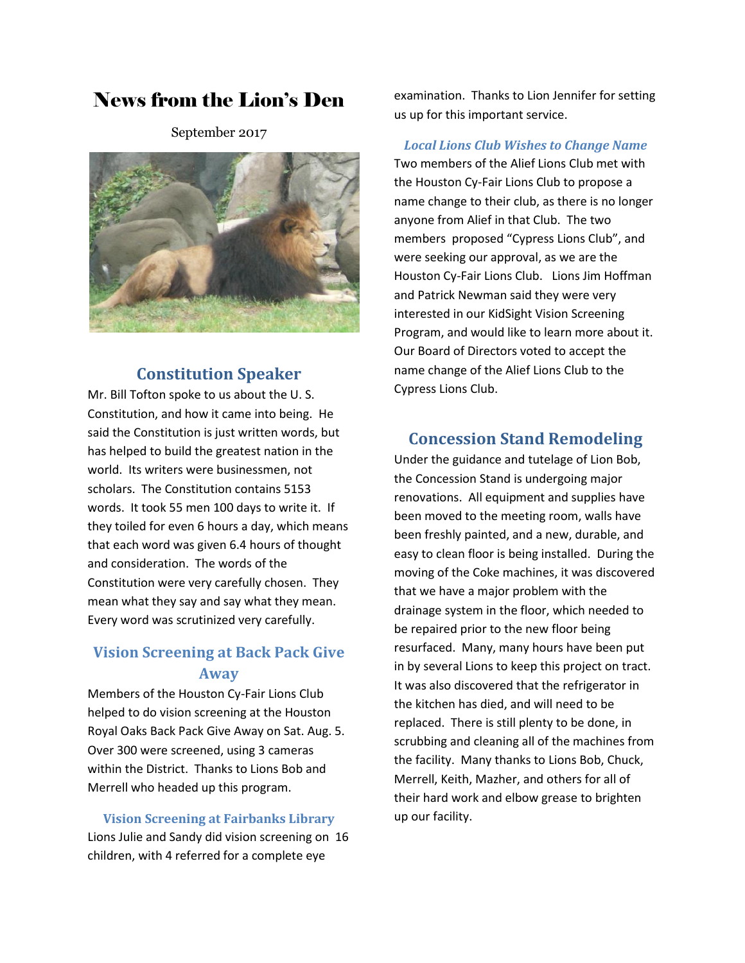# News from the Lion's Den

September 2017



## **Constitution Speaker**

Mr. Bill Tofton spoke to us about the U. S. Constitution, and how it came into being. He said the Constitution is just written words, but has helped to build the greatest nation in the world. Its writers were businessmen, not scholars. The Constitution contains 5153 words. It took 55 men 100 days to write it. If they toiled for even 6 hours a day, which means that each word was given 6.4 hours of thought and consideration. The words of the Constitution were very carefully chosen. They mean what they say and say what they mean. Every word was scrutinized very carefully.

# **Vision Screening at Back Pack Give Away**

Members of the Houston Cy-Fair Lions Club helped to do vision screening at the Houston Royal Oaks Back Pack Give Away on Sat. Aug. 5. Over 300 were screened, using 3 cameras within the District. Thanks to Lions Bob and Merrell who headed up this program.

**Vision Screening at Fairbanks Library** Lions Julie and Sandy did vision screening on 16 children, with 4 referred for a complete eye

examination. Thanks to Lion Jennifer for setting us up for this important service.

*Local Lions Club Wishes to Change Name* Two members of the Alief Lions Club met with the Houston Cy-Fair Lions Club to propose a name change to their club, as there is no longer anyone from Alief in that Club. The two members proposed "Cypress Lions Club", and were seeking our approval, as we are the Houston Cy-Fair Lions Club. Lions Jim Hoffman and Patrick Newman said they were very interested in our KidSight Vision Screening Program, and would like to learn more about it. Our Board of Directors voted to accept the name change of the Alief Lions Club to the Cypress Lions Club.

## **Concession Stand Remodeling**

Under the guidance and tutelage of Lion Bob, the Concession Stand is undergoing major renovations. All equipment and supplies have been moved to the meeting room, walls have been freshly painted, and a new, durable, and easy to clean floor is being installed. During the moving of the Coke machines, it was discovered that we have a major problem with the drainage system in the floor, which needed to be repaired prior to the new floor being resurfaced. Many, many hours have been put in by several Lions to keep this project on tract. It was also discovered that the refrigerator in the kitchen has died, and will need to be replaced. There is still plenty to be done, in scrubbing and cleaning all of the machines from the facility. Many thanks to Lions Bob, Chuck, Merrell, Keith, Mazher, and others for all of their hard work and elbow grease to brighten up our facility.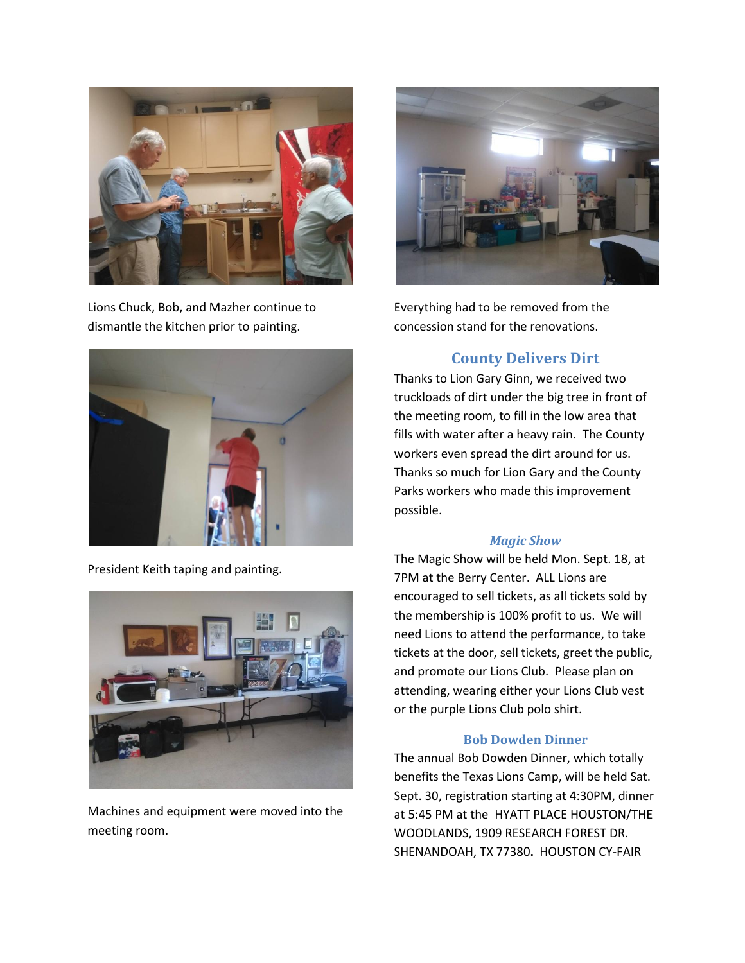

Lions Chuck, Bob, and Mazher continue to dismantle the kitchen prior to painting.



President Keith taping and painting.



Machines and equipment were moved into the meeting room.



Everything had to be removed from the concession stand for the renovations.

# **County Delivers Dirt**

Thanks to Lion Gary Ginn, we received two truckloads of dirt under the big tree in front of the meeting room, to fill in the low area that fills with water after a heavy rain. The County workers even spread the dirt around for us. Thanks so much for Lion Gary and the County Parks workers who made this improvement possible.

#### *Magic Show*

The Magic Show will be held Mon. Sept. 18, at 7PM at the Berry Center. ALL Lions are encouraged to sell tickets, as all tickets sold by the membership is 100% profit to us. We will need Lions to attend the performance, to take tickets at the door, sell tickets, greet the public, and promote our Lions Club. Please plan on attending, wearing either your Lions Club vest or the purple Lions Club polo shirt.

#### **Bob Dowden Dinner**

The annual Bob Dowden Dinner, which totally benefits the Texas Lions Camp, will be held Sat. Sept. 30, registration starting at 4:30PM, dinner at 5:45 PM at the HYATT PLACE HOUSTON/THE WOODLANDS, 1909 RESEARCH FOREST DR. SHENANDOAH, TX 77380**.** HOUSTON CY-FAIR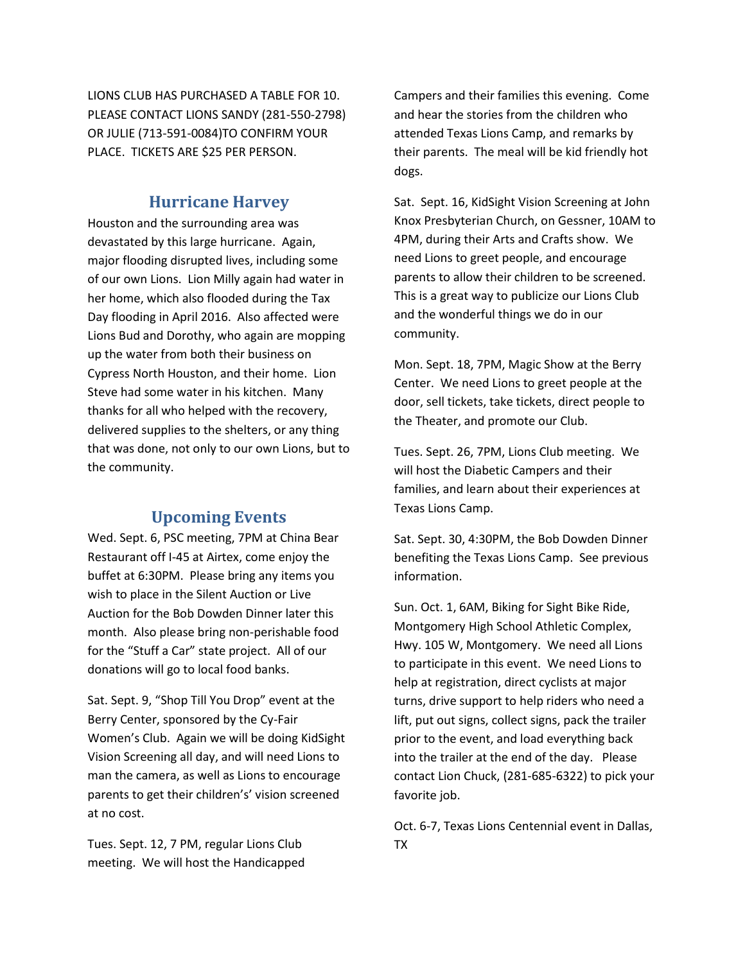LIONS CLUB HAS PURCHASED A TABLE FOR 10. PLEASE CONTACT LIONS SANDY (281-550-2798) OR JULIE (713-591-0084)TO CONFIRM YOUR PLACE. TICKETS ARE \$25 PER PERSON.

## **Hurricane Harvey**

Houston and the surrounding area was devastated by this large hurricane. Again, major flooding disrupted lives, including some of our own Lions. Lion Milly again had water in her home, which also flooded during the Tax Day flooding in April 2016. Also affected were Lions Bud and Dorothy, who again are mopping up the water from both their business on Cypress North Houston, and their home. Lion Steve had some water in his kitchen. Many thanks for all who helped with the recovery, delivered supplies to the shelters, or any thing that was done, not only to our own Lions, but to the community.

### **Upcoming Events**

Wed. Sept. 6, PSC meeting, 7PM at China Bear Restaurant off I-45 at Airtex, come enjoy the buffet at 6:30PM. Please bring any items you wish to place in the Silent Auction or Live Auction for the Bob Dowden Dinner later this month. Also please bring non-perishable food for the "Stuff a Car" state project. All of our donations will go to local food banks.

Sat. Sept. 9, "Shop Till You Drop" event at the Berry Center, sponsored by the Cy-Fair Women's Club. Again we will be doing KidSight Vision Screening all day, and will need Lions to man the camera, as well as Lions to encourage parents to get their children's' vision screened at no cost.

Tues. Sept. 12, 7 PM, regular Lions Club meeting. We will host the Handicapped Campers and their families this evening. Come and hear the stories from the children who attended Texas Lions Camp, and remarks by their parents. The meal will be kid friendly hot dogs.

Sat. Sept. 16, KidSight Vision Screening at John Knox Presbyterian Church, on Gessner, 10AM to 4PM, during their Arts and Crafts show. We need Lions to greet people, and encourage parents to allow their children to be screened. This is a great way to publicize our Lions Club and the wonderful things we do in our community.

Mon. Sept. 18, 7PM, Magic Show at the Berry Center. We need Lions to greet people at the door, sell tickets, take tickets, direct people to the Theater, and promote our Club.

Tues. Sept. 26, 7PM, Lions Club meeting. We will host the Diabetic Campers and their families, and learn about their experiences at Texas Lions Camp.

Sat. Sept. 30, 4:30PM, the Bob Dowden Dinner benefiting the Texas Lions Camp. See previous information.

Sun. Oct. 1, 6AM, Biking for Sight Bike Ride, Montgomery High School Athletic Complex, Hwy. 105 W, Montgomery. We need all Lions to participate in this event. We need Lions to help at registration, direct cyclists at major turns, drive support to help riders who need a lift, put out signs, collect signs, pack the trailer prior to the event, and load everything back into the trailer at the end of the day. Please contact Lion Chuck, (281-685-6322) to pick your favorite job.

Oct. 6-7, Texas Lions Centennial event in Dallas, TX